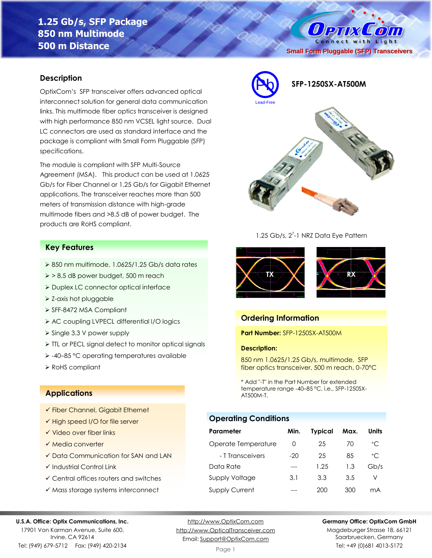# **1.25 Gb/s, SFP Package 850 nm Multimode 500 m Distance**

# **Description**

OptixCom's SFP transceiver offers advanced optical interconnect solution for general data communication links. This multimode fiber optics transceiver is designed with high performance 850 nm VCSEL light source. Dual LC connectors are used as standard interface and the package is compliant with Small Form Pluggable (SFP) specifications.

The module is compliant with SFP Multi-Source Agreement (MSA). This product can be used at 1.0625 Gb/s for Fiber Channel or 1.25 Gb/s for Gigabit Ethernet applications. The transceiver reaches more than 500 meters of transmission distance with high-grade multimode fibers and >8.5 dB of power budget. The products are RoHS compliant.

# **Key Features**

- ➢ 850 nm multimode, 1.0625/1.25 Gb/s data rates
- ➢ > 8.5 dB power budget, 500 m reach
- ➢ Duplex LC connector optical interface
- ➢ Z-axis hot pluggable
- ➢ SFF-8472 MSA Compliant
- ➢ AC coupling LVPECL differential I/O logics
- ➢ Single 3.3 V power supply
- ➢ TTL or PECL signal detect to monitor optical signals
- ➢ -40–85 °C operating temperatures available
- ➢ RoHS compliant

### **Applications**

- ✓ Fiber Channel, Gigabit Ethernet
- ✓ High speed I/O for file server
- ✓ Video over fiber links
- ✓ Media converter
- ✓ Data Communication for SAN and LAN
- ✓ Industrial Control Link
- ✓ Central offices routers and switches
- ✓ Mass storage systems interconnect

#### **U.S.A. Office: Optix Communications, Inc.**



[http://www.OptixCom.com](http://www.optixcom.com/) [http://www.OpticalTransceiver.com](http://www.optoictech.com/) Email: [Support@OptixCom.com](mailto:Support@optoICtech.com)



Magdeburger Strasse 18, 66121 Saarbruecken, Germany Tel: +49 (0)681 4013-5172





1.25 Gb/s, 2<sup>7</sup>-1 NRZ Data Eye Pattern



# **Ordering Information**

#### **Part Number:** SFP-1250SX-AT500M

#### **Description:**

850 nm 1.0625/1.25 Gb/s, multimode, SFP fiber optics transceiver, 500 m reach, 0-70°C

\* Add "-T" in the Part Number for extended temperature range -40–85 °C, i.e., SFP-1250SX-AT500M-T.

#### **Operating Conditions**

| Min.  | <b>Typical</b> | Max. | Units        |
|-------|----------------|------|--------------|
| O     | 25             | 70   | °C           |
| $-20$ | 25             | 85   | $^{\circ}$ C |
|       | 1.25           | 1.3  | Gb/s         |
| 3.1   | 3.3            | 3.5  | V            |
|       | 200            | 300  | mA           |
|       |                |      |              |

 $0$  PTIX  $\mathcal{L}$  oin Connect with Light **Small Form Pluggable (SFP) Transceivers**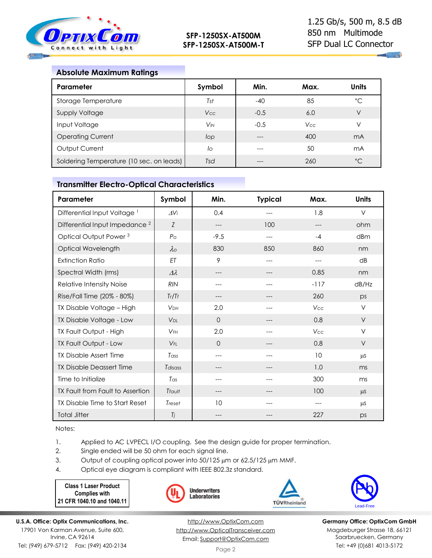

 $\mathbf{A}$  , and  $\mathbf{A}$ 

# **Absolute Maximum Ratings**

| Parameter                                | Symbol                | Min.   | Max.       | Units        |
|------------------------------------------|-----------------------|--------|------------|--------------|
| Storage Temperature                      | Tst                   | $-40$  | 85         | °C           |
| <b>Supply Voltage</b>                    | <b>Vcc</b>            | $-0.5$ | 6.0        | V            |
| Input Voltage                            | <b>V<sub>IN</sub></b> | $-0.5$ | <b>Vcc</b> | V            |
| <b>Operating Current</b>                 | lop                   | ---    | 400        | mA           |
| Output Current                           | lo                    | ---    | 50         | mA           |
| Soldering Temperature (10 sec. on leads) | Tsd                   | ---    | 260        | $^{\circ}$ C |

# **Transmitter Electro-Optical Characteristics**

| Parameter                                 | Symbol                | Min.     | <b>Typical</b> | Max.   | <b>Units</b> |
|-------------------------------------------|-----------------------|----------|----------------|--------|--------------|
| Differential Input Voltage <sup>1</sup>   | $\Delta V$ i          | 0.4      |                | 1.8    | $\vee$       |
| Differential Input Impedance <sup>2</sup> | Z                     | $---$    | 100            | ---    | ohm          |
| Optical Output Power <sup>3</sup>         | $P_{\rm O}$           | $-9.5$   | ---            | $-4$   | dBm          |
| Optical Wavelength                        | $\lambda_{0}$         | 830      | 850            | 860    | nm           |
| <b>Extinction Ratio</b>                   | ET                    | 9        |                |        | dB           |
| Spectral Width (rms)                      | $\Delta\lambda$       | ---      |                | 0.85   | nm           |
| <b>Relative Intensity Noise</b>           | <b>RIN</b>            | ---      | ---            | $-117$ | dB/Hz        |
| Rise/Fall Time (20% - 80%)                | Tr/Tr                 | ---      | ---            | 260    | DS           |
| TX Disable Voltage - High                 | <b>V<sub>DH</sub></b> | 2.0      | ---            | Vcc    | $\vee$       |
| TX Disable Voltage - Low                  | VDI                   | $\Omega$ |                | 0.8    | $\vee$       |
| TX Fault Output - High                    | $V$ FH                | 2.0      |                | Vcc    | $\vee$       |
| TX Fault Output - Low                     | $V_{FL}$              | $\Omega$ |                | 0.8    | V            |
| <b>TX Disable Assert Time</b>             | Tass                  | ---      |                | 10     | μS           |
| <b>TX Disable Deassert Time</b>           | Tdisass               |          |                | 1.0    | ms           |
| Time to Initialize                        | $T_{\text{GS}}$       | ---      |                | 300    | ms           |
| TX Fault from Fault to Assertion          | Tfault                | ---      |                | 100    | $\mu$ S      |
| TX Disable Time to Start Reset            | Treset                | 10       |                |        | μS           |
| <b>Total Jitter</b>                       | Tj                    |          |                | 227    | ps           |

Notes:

1. Applied to AC LVPECL I/O coupling. See the design guide for proper termination.

- 2. Single ended will be 50 ohm for each signal line.
- 3. Output of coupling optical power into  $50/125 \mu m$  or  $62.5/125 \mu m$  MMF.
- 4. Optical eye diagram is compliant with IEEE 802.3z standard.

**Class 1 Laser Product Complies with 21 CFR 1040.10 and 1040.11**







**Germany Office: OptixCom GmbH** Magdeburger Strasse 18, 66121 Saarbruecken, Germany Tel: +49 (0)681 4013-5172

**U.S.A. Office: Optix Communications, Inc.** 17901 Von Karman Avenue, Suite 600, Irvine, CA 92614 Tel: (949) 679-5712 Fax: (949) 420-2134

[http://www.OptixCom.com](http://www.optixcom.com/) [http://www.OpticalTransceiver.com](http://www.optoictech.com/) Email: [Support@OptixCom.com](mailto:Support@optoICtech.com)

Page 2